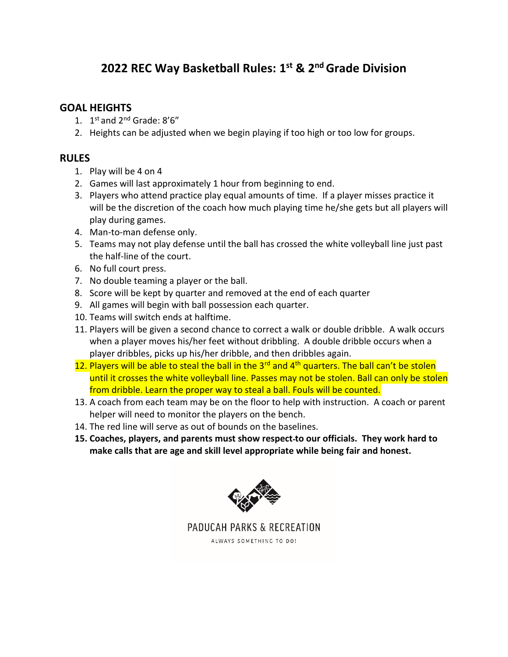## **2022 REC Way Basketball Rules: 1 st & 2 ndGrade Division**

## **GOAL HEIGHTS**

- 1.  $1^{st}$  and  $2^{nd}$  Grade:  $8'6''$
- 2. Heights can be adjusted when we begin playing if too high or too low for groups.

## **RULES**

- 1. Play will be 4 on 4
- 2. Games will last approximately 1 hour from beginning to end.
- 3. Players who attend practice play equal amounts of time. If a player misses practice it will be the discretion of the coach how much playing time he/she gets but all players will play during games.
- 4. Man-to-man defense only.
- 5. Teams may not play defense until the ball has crossed the white volleyball line just past the half-line of the court.
- 6. No full court press.
- 7. No double teaming a player or the ball.
- 8. Score will be kept by quarter and removed at the end of each quarter
- 9. All games will begin with ball possession each quarter.
- 10. Teams will switch ends at halftime.
- 11. Players will be given a second chance to correct a walk or double dribble. A walk occurs when a player moves his/her feet without dribbling. A double dribble occurs when a player dribbles, picks up his/her dribble, and then dribbles again.
- 12. Players will be able to steal the ball in the  $3<sup>rd</sup>$  and  $4<sup>th</sup>$  quarters. The ball can't be stolen until it crosses the white volleyball line. Passes may not be stolen. Ball can only be stolen from dribble. Learn the proper way to steal a ball. Fouls will be counted.
- 13. A coach from each team may be on the floor to help with instruction. A coach or parent helper will need to monitor the players on the bench.
- 14. The red line will serve as out of bounds on the baselines.
- **15. Coaches, players, and parents must show respect to our officials. They work hard to make calls that are age and skill level appropriate while being fair and honest.**



PADUCAH PARKS & RECREATION

ALWAYS SOMETHING TO DO!